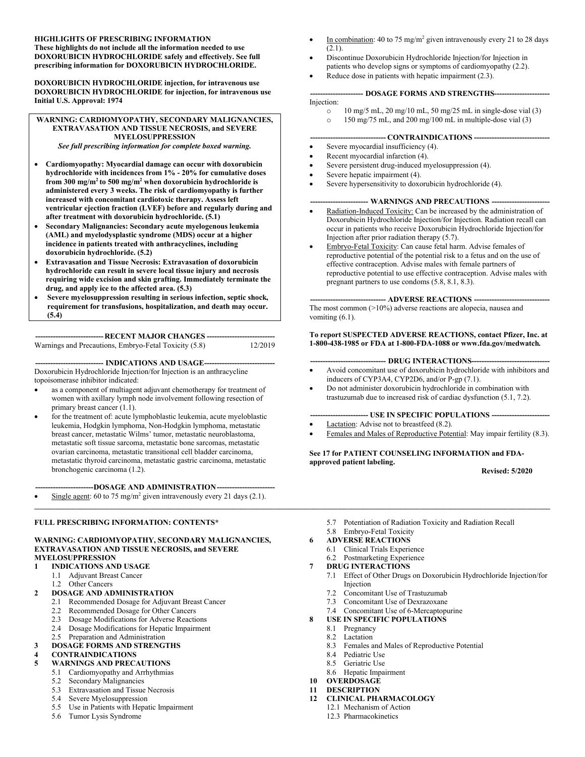#### **HIGHLIGHTS OF PRESCRIBING INFORMATION These highlights do not include all the information needed to use DOXORUBICIN HYDROCHLORIDE safely and effectively. See full prescribing information for DOXORUBICIN HYDROCHLORIDE.**

**DOXORUBICIN HYDROCHLORIDE injection, for intravenous use DOXORUBICIN HYDROCHLORIDE for injection, for intravenous use Initial U.S. Approval: 1974**

#### **WARNING: CARDIOMYOPATHY, SECONDARY MALIGNANCIES, EXTRAVASATION AND TISSUE NECROSIS, and SEVERE MYELOSUPPRESSION**

*See full prescribing information for complete boxed warning.*

- **Cardiomyopathy: Myocardial damage can occur with doxorubicin hydrochloride with incidences from 1% - 20% for cumulative doses from 300 mg/m<sup>2</sup>to 500 mg/m<sup>2</sup> when doxorubicin hydrochloride is administered every 3 weeks. The risk of cardiomyopathy is further increased with concomitant cardiotoxic therapy. Assess left ventricular ejection fraction (LVEF) before and regularly during and after treatment with doxorubicin hydrochloride. (5.1)**
- **Secondary Malignancies: Secondary acute myelogenous leukemia (AML) and myelodysplastic syndrome (MDS) occur at a higher incidence in patients treated with anthracyclines, including doxorubicin hydrochloride. (5.2)**
- **Extravasation and Tissue Necrosis: Extravasation of doxorubicin hydrochloride can result in severe local tissue injury and necrosis requiring wide excision and skin grafting. Immediately terminate the drug, and apply ice to the affected area. (5.3)**
- **Severe myelosuppression resulting in serious infection, septic shock, requirement for transfusions, hospitalization, and death may occur. (5.4)**

**---------------------------RECENT MAJOR CHANGES ---------------------------** Warnings and Precautions, Embryo-Fetal Toxicity (5.8)

#### --- **INDICATIONS AND USAGE----**

Doxorubicin Hydrochloride Injection/for Injection is an anthracycline topoisomerase inhibitor indicated:

- as a component of multiagent adjuvant chemotherapy for treatment of women with axillary lymph node involvement following resection of primary breast cancer (1.1).
- for the treatment of: acute lymphoblastic leukemia, acute myeloblastic leukemia, Hodgkin lymphoma, Non-Hodgkin lymphoma, metastatic breast cancer, metastatic Wilms' tumor, metastatic neuroblastoma, metastatic soft tissue sarcoma, metastatic bone sarcomas, metastatic ovarian carcinoma, metastatic transitional cell bladder carcinoma, metastatic thyroid carcinoma, metastatic gastric carcinoma, metastatic bronchogenic carcinoma (1.2).

**-----------------------DOSAGE AND ADMINISTRATION-----------------------**

Single agent: 60 to 75 mg/m<sup>2</sup> given intravenously every 21 days (2.1).

#### **FULL PRESCRIBING INFORMATION: CONTENTS\***

#### **WARNING: CARDIOMYOPATHY, SECONDARY MALIGNANCIES, EXTRAVASATION AND TISSUE NECROSIS, and SEVERE MYELOSUPPRESSION**

#### **1 INDICATIONS AND USAGE**

- 1.1 Adjuvant Breast Cancer
- 1.2 Other Cancers

#### **2 DOSAGE AND ADMINISTRATION**

- 2.1 Recommended Dosage for Adjuvant Breast Cancer
- 2.2 Recommended Dosage for Other Cancers
- 2.3 Dosage Modifications for Adverse Reactions
- 2.4 Dosage Modifications for Hepatic Impairment
- 2.5 Preparation and Administration

#### **3 DOSAGE FORMS AND STRENGTHS**

- **4 CONTRAINDICATIONS**
- **5 WARNINGS AND PRECAUTIONS**
	- 5.1 Cardiomyopathy and Arrhythmias
	- 5.2 Secondary Malignancies
	- 5.3 Extravasation and Tissue Necrosis
	- 5.4 Severe Myelosuppression
	- 5.5 Use in Patients with Hepatic Impairment
	- 5.6 Tumor Lysis Syndrome
- In combination: 40 to 75 mg/m<sup>2</sup> given intravenously every 21 to 28 days  $(2.1)$ .
- Discontinue Doxorubicin Hydrochloride Injection/for Injection in patients who develop signs or symptoms of cardiomyopathy (2.2).
- Reduce dose in patients with hepatic impairment (2.3).

#### **--------------------- DOSAGE FORMS AND STRENGTHS----------------------** Injection:

- $\degree$  10 mg/5 mL, 20 mg/10 mL, 50 mg/25 mL in single-dose vial (3)
- o 150 mg/75 mL, and 200 mg/100 mL in multiple-dose vial (3)

#### **------------------------------ CONTRAINDICATIONS ------------------------------**

- Severe myocardial insufficiency (4).
- Recent myocardial infarction (4).
- Severe persistent drug-induced myelosuppression (4).
- Severe hepatic impairment (4).
- Severe hypersensitivity to doxorubicin hydrochloride (4).

#### --- WARNINGS AND PRECAUTIONS ---

- Radiation-Induced Toxicity: Can be increased by the administration of Doxorubicin Hydrochloride Injection/for Injection. Radiation recall can occur in patients who receive Doxorubicin Hydrochloride Injection/for Injection after prior radiation therapy (5.7).
- Embryo-Fetal Toxicity: Can cause fetal harm. Advise females of reproductive potential of the potential risk to a fetus and on the use of effective contraception. Advise males with female partners of reproductive potential to use effective contraception. Advise males with pregnant partners to use condoms (5.8, 8.1, 8.3).

#### **------------------------------ ADVERSE REACTIONS ------------------------------**

The most common (>10%) adverse reactions are alopecia, nausea and vomiting (6.1).

#### **To report SUSPECTED ADVERSE REACTIONS, contact Pfizer, Inc. at 1-800-438-1985 or FDA at 1-800-FDA-1088 or www.fda.gov/medwatch***.*

**------------------------------ DRUG INTERACTIONS-------------------------------**

- Avoid concomitant use of doxorubicin hydrochloride with inhibitors and inducers of CYP3A4, CYP2D6, and/or P-gp (7.1).
- Do not administer doxorubicin hydrochloride in combination with trastuzumab due to increased risk of cardiac dysfunction (5.1, 7.2).

#### **----------------------- USE IN SPECIFIC POPULATIONS -----------------------**

- Lactation: Advise not to breastfeed (8.2).
- Females and Males of Reproductive Potential: May impair fertility (8.3).

**See 17 for PATIENT COUNSELING INFORMATION and FDAapproved patient labeling.**

#### **Revised: 5/2020**

- 5.7 Potentiation of Radiation Toxicity and Radiation Recall
- 5.8 Embryo-Fetal Toxicity

#### **6 ADVERSE REACTIONS**

 $\mathcal{L} = \{ \mathcal{L} = \{ \mathcal{L} = \{ \mathcal{L} = \{ \mathcal{L} = \{ \mathcal{L} = \{ \mathcal{L} = \{ \mathcal{L} = \{ \mathcal{L} = \{ \mathcal{L} = \{ \mathcal{L} = \{ \mathcal{L} = \{ \mathcal{L} = \{ \mathcal{L} = \{ \mathcal{L} = \{ \mathcal{L} = \{ \mathcal{L} = \{ \mathcal{L} = \{ \mathcal{L} = \{ \mathcal{L} = \{ \mathcal{L} = \{ \mathcal{L} = \{ \mathcal{L} = \{ \mathcal{L} = \{ \mathcal{$ 

- 6.1 Clinical Trials Experience
- 6.2 Postmarketing Experience
- **7 DRUG INTERACTIONS**
	- 7.1 Effect of Other Drugs on Doxorubicin Hydrochloride Injection/for Injection
	- 7.2 Concomitant Use of Trastuzumab
	- 7.3 Concomitant Use of Dexrazoxane
	- 7.4 Concomitant Use of 6-Mercaptopurine
- **8 USE IN SPECIFIC POPULATIONS**
	- 8.1 Pregnancy
	- 8.2 Lactation 8.3 Females and Males of Reproductive Potential
	- 8.4 Pediatric Use
	- 8.5 Geriatric Use
	- 8.6 Hepatic Impairment
	-
- **10 OVERDOSAGE 11 DESCRIPTION**

#### **12 CLINICAL PHARMACOLOGY**

- 12.1 Mechanism of Action
- 12.3 Pharmacokinetics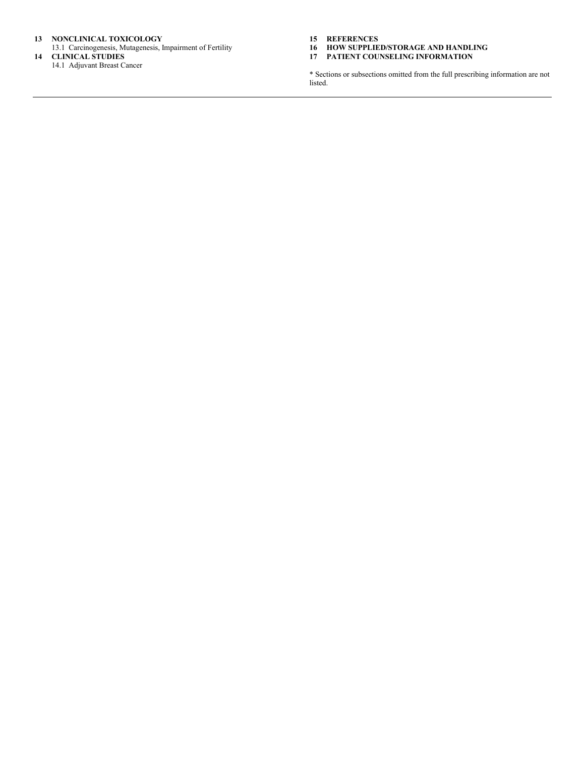#### **13 NONCLINICAL TOXICOLOGY**

13.1 Carcinogenesis, Mutagenesis, Impairment of Fertility **14 CLINICAL STUDIES**

14.1 Adjuvant Breast Cancer

**15 REFERENCES**

- **16 HOW SUPPLIED/STORAGE AND HANDLING**
- **17 PATIENT COUNSELING INFORMATION**

\* Sections or subsections omitted from the full prescribing information are not listed.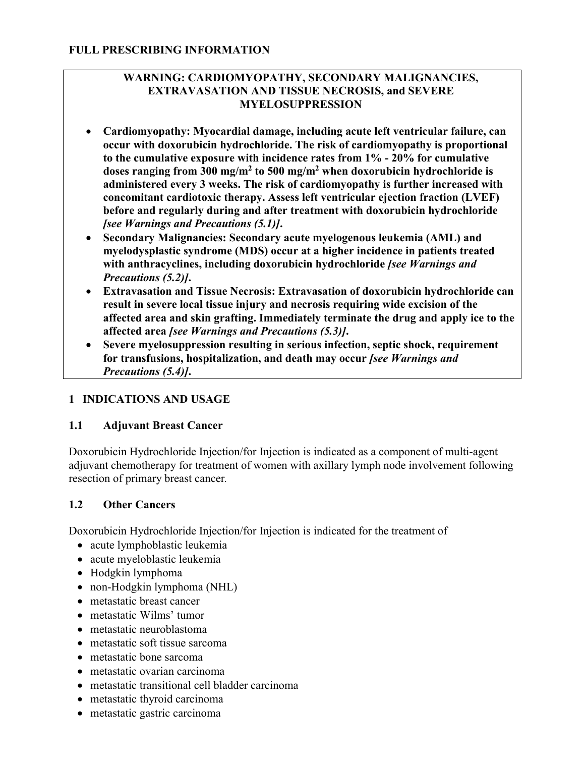## **WARNING: CARDIOMYOPATHY, SECONDARY MALIGNANCIES, EXTRAVASATION AND TISSUE NECROSIS, and SEVERE MYELOSUPPRESSION**

- **Cardiomyopathy: Myocardial damage, including acute left ventricular failure, can occur with doxorubicin hydrochloride. The risk of cardiomyopathy is proportional to the cumulative exposure with incidence rates from 1% - 20% for cumulative doses ranging from 300 mg/m<sup>2</sup> to 500 mg/m<sup>2</sup> when doxorubicin hydrochloride is administered every 3 weeks. The risk of cardiomyopathy is further increased with concomitant cardiotoxic therapy. Assess left ventricular ejection fraction (LVEF) before and regularly during and after treatment with doxorubicin hydrochloride**  *[see Warnings and Precautions (5.1)]***.**
- **Secondary Malignancies: Secondary acute myelogenous leukemia (AML) and myelodysplastic syndrome (MDS) occur at a higher incidence in patients treated with anthracyclines, including doxorubicin hydrochloride** *[see Warnings and Precautions (5.2)]***.**
- **Extravasation and Tissue Necrosis: Extravasation of doxorubicin hydrochloride can result in severe local tissue injury and necrosis requiring wide excision of the affected area and skin grafting. Immediately terminate the drug and apply ice to the affected area** *[see Warnings and Precautions (5.3)]***.**
- **Severe myelosuppression resulting in serious infection, septic shock, requirement for transfusions, hospitalization, and death may occur** *[see Warnings and Precautions (5.4)]***.**

## **1 INDICATIONS AND USAGE**

## **1.1 Adjuvant Breast Cancer**

Doxorubicin Hydrochloride Injection/for Injection is indicated as a component of multi-agent adjuvant chemotherapy for treatment of women with axillary lymph node involvement following resection of primary breast cancer*.*

## **1.2 Other Cancers**

Doxorubicin Hydrochloride Injection/for Injection is indicated for the treatment of

- acute lymphoblastic leukemia
- acute myeloblastic leukemia
- Hodgkin lymphoma
- non-Hodgkin lymphoma (NHL)
- metastatic breast cancer
- metastatic Wilms' tumor
- metastatic neuroblastoma
- metastatic soft tissue sarcoma
- metastatic bone sarcoma
- metastatic ovarian carcinoma
- metastatic transitional cell bladder carcinoma
- metastatic thyroid carcinoma
- metastatic gastric carcinoma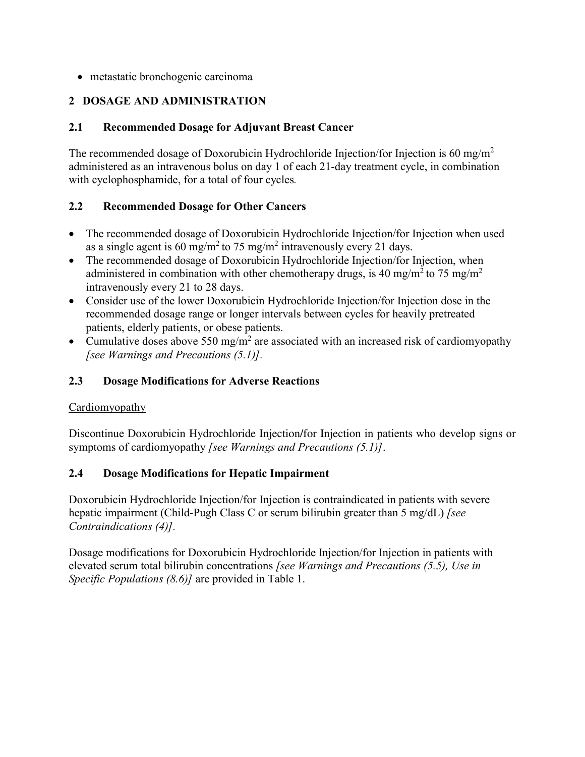metastatic bronchogenic carcinoma

# **2 DOSAGE AND ADMINISTRATION**

## **2.1 Recommended Dosage for Adjuvant Breast Cancer**

The recommended dosage of Doxorubicin Hydrochloride Injection/for Injection is 60 mg/m<sup>2</sup> administered as an intravenous bolus on day 1 of each 21-day treatment cycle, in combination with cyclophosphamide, for a total of four cycles*.*

## **2.2 Recommended Dosage for Other Cancers**

- The recommended dosage of Doxorubicin Hydrochloride Injection/for Injection when used as a single agent is 60 mg/m<sup>2</sup> to 75 mg/m<sup>2</sup> intravenously every 21 days.
- The recommended dosage of Doxorubicin Hydrochloride Injection/for Injection, when administered in combination with other chemotherapy drugs, is 40 mg/m<sup>2</sup> to 75 mg/m<sup>2</sup> intravenously every 21 to 28 days.
- Consider use of the lower Doxorubicin Hydrochloride Injection/for Injection dose in the recommended dosage range or longer intervals between cycles for heavily pretreated patients, elderly patients, or obese patients.
- Cumulative doses above 550 mg/m<sup>2</sup> are associated with an increased risk of cardiomyopathy *[see Warnings and Precautions (5.1)].*

## **2.3 Dosage Modifications for Adverse Reactions**

## Cardiomyopathy

Discontinue Doxorubicin Hydrochloride Injection/for Injection in patients who develop signs or symptoms of cardiomyopathy *[see Warnings and Precautions (5.1)]*.

## **2.4 Dosage Modifications for Hepatic Impairment**

Doxorubicin Hydrochloride Injection/for Injection is contraindicated in patients with severe hepatic impairment (Child-Pugh Class C or serum bilirubin greater than 5 mg/dL) *[see Contraindications (4)].*

Dosage modifications for Doxorubicin Hydrochloride Injection/for Injection in patients with elevated serum total bilirubin concentrations *[see Warnings and Precautions (5.5), Use in Specific Populations (8.6)]* are provided in Table 1.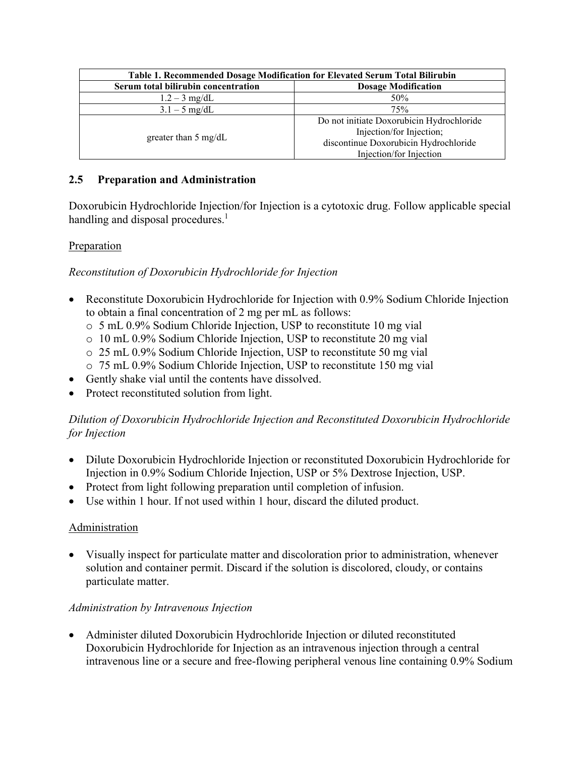| Table 1. Recommended Dosage Modification for Elevated Serum Total Bilirubin |                                           |  |  |  |
|-----------------------------------------------------------------------------|-------------------------------------------|--|--|--|
| Serum total bilirubin concentration<br><b>Dosage Modification</b>           |                                           |  |  |  |
| $1.2 - 3$ mg/dL                                                             | 50%                                       |  |  |  |
| $3.1 - 5$ mg/dL                                                             | 75%                                       |  |  |  |
| greater than $5 \text{ mg/dL}$                                              | Do not initiate Doxorubicin Hydrochloride |  |  |  |
|                                                                             | Injection/for Injection;                  |  |  |  |
|                                                                             | discontinue Doxorubicin Hydrochloride     |  |  |  |
|                                                                             | Injection/for Injection                   |  |  |  |

## **2.5 Preparation and Administration**

Doxorubicin Hydrochloride Injection/for Injection is a cytotoxic drug. Follow applicable special handling and disposal procedures.<sup>1</sup>

## **Preparation**

## *Reconstitution of Doxorubicin Hydrochloride for Injection*

- Reconstitute Doxorubicin Hydrochloride for Injection with 0.9% Sodium Chloride Injection to obtain a final concentration of 2 mg per mL as follows:
	- o 5 mL 0.9% Sodium Chloride Injection, USP to reconstitute 10 mg vial
	- o 10 mL 0.9% Sodium Chloride Injection, USP to reconstitute 20 mg vial
	- o 25 mL 0.9% Sodium Chloride Injection, USP to reconstitute 50 mg vial
	- o 75 mL 0.9% Sodium Chloride Injection, USP to reconstitute 150 mg vial
- Gently shake vial until the contents have dissolved.
- Protect reconstituted solution from light.

## *Dilution of Doxorubicin Hydrochloride Injection and Reconstituted Doxorubicin Hydrochloride for Injection*

- Dilute Doxorubicin Hydrochloride Injection or reconstituted Doxorubicin Hydrochloride for Injection in 0.9% Sodium Chloride Injection, USP or 5% Dextrose Injection, USP.
- Protect from light following preparation until completion of infusion.
- Use within 1 hour. If not used within 1 hour, discard the diluted product.

## Administration

 Visually inspect for particulate matter and discoloration prior to administration, whenever solution and container permit. Discard if the solution is discolored, cloudy, or contains particulate matter.

## *Administration by Intravenous Injection*

 Administer diluted Doxorubicin Hydrochloride Injection or diluted reconstituted Doxorubicin Hydrochloride for Injection as an intravenous injection through a central intravenous line or a secure and free-flowing peripheral venous line containing 0.9% Sodium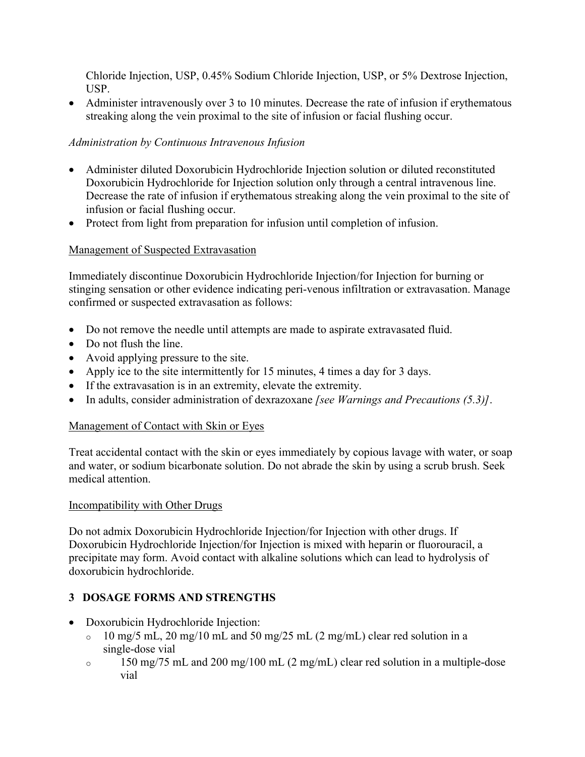Chloride Injection, USP, 0.45% Sodium Chloride Injection, USP, or 5% Dextrose Injection, USP.

• Administer intravenously over 3 to 10 minutes. Decrease the rate of infusion if erythematous streaking along the vein proximal to the site of infusion or facial flushing occur.

## *Administration by Continuous Intravenous Infusion*

- Administer diluted Doxorubicin Hydrochloride Injection solution or diluted reconstituted Doxorubicin Hydrochloride for Injection solution only through a central intravenous line. Decrease the rate of infusion if erythematous streaking along the vein proximal to the site of infusion or facial flushing occur.
- Protect from light from preparation for infusion until completion of infusion.

# Management of Suspected Extravasation

Immediately discontinue Doxorubicin Hydrochloride Injection/for Injection for burning or stinging sensation or other evidence indicating peri-venous infiltration or extravasation. Manage confirmed or suspected extravasation as follows:

- Do not remove the needle until attempts are made to aspirate extravasated fluid.
- Do not flush the line.
- Avoid applying pressure to the site.
- Apply ice to the site intermittently for 15 minutes, 4 times a day for 3 days.
- If the extravasation is in an extremity, elevate the extremity.
- In adults, consider administration of dexrazoxane *[see Warnings and Precautions (5.3)]*.

## Management of Contact with Skin or Eyes

Treat accidental contact with the skin or eyes immediately by copious lavage with water, or soap and water, or sodium bicarbonate solution. Do not abrade the skin by using a scrub brush. Seek medical attention.

## Incompatibility with Other Drugs

Do not admix Doxorubicin Hydrochloride Injection/for Injection with other drugs. If Doxorubicin Hydrochloride Injection/for Injection is mixed with heparin or fluorouracil, a precipitate may form. Avoid contact with alkaline solutions which can lead to hydrolysis of doxorubicin hydrochloride.

## **3 DOSAGE FORMS AND STRENGTHS**

- Doxorubicin Hydrochloride Injection:
	- o 10 mg/5 mL, 20 mg/10 mL and 50 mg/25 mL (2 mg/mL) clear red solution in a single-dose vial
	- o 150 mg/75 mL and 200 mg/100 mL (2 mg/mL) clear red solution in a multiple-dose vial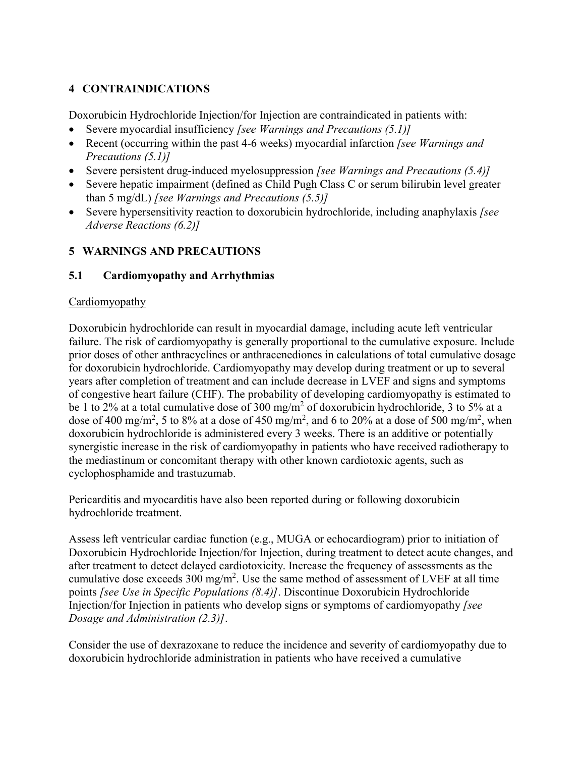# **4 CONTRAINDICATIONS**

Doxorubicin Hydrochloride Injection/for Injection are contraindicated in patients with:

- Severe myocardial insufficiency *[see Warnings and Precautions (5.1)]*
- Recent (occurring within the past 4-6 weeks) myocardial infarction *[see Warnings and Precautions (5.1)]*
- Severe persistent drug-induced myelosuppression *[see Warnings and Precautions (5.4)]*
- Severe hepatic impairment (defined as Child Pugh Class C or serum bilirubin level greater than 5 mg/dL) *[see Warnings and Precautions (5.5)]*
- Severe hypersensitivity reaction to doxorubicin hydrochloride, including anaphylaxis *[see Adverse Reactions (6.2)]*

## **5 WARNINGS AND PRECAUTIONS**

## **5.1 Cardiomyopathy and Arrhythmias**

#### Cardiomyopathy

Doxorubicin hydrochloride can result in myocardial damage, including acute left ventricular failure. The risk of cardiomyopathy is generally proportional to the cumulative exposure. Include prior doses of other anthracyclines or anthracenediones in calculations of total cumulative dosage for doxorubicin hydrochloride. Cardiomyopathy may develop during treatment or up to several years after completion of treatment and can include decrease in LVEF and signs and symptoms of congestive heart failure (CHF). The probability of developing cardiomyopathy is estimated to be 1 to 2% at a total cumulative dose of 300 mg/m<sup>2</sup> of doxorubicin hydrochloride, 3 to 5% at a dose of 400 mg/m<sup>2</sup>, 5 to 8% at a dose of 450 mg/m<sup>2</sup>, and 6 to 20% at a dose of 500 mg/m<sup>2</sup>, when doxorubicin hydrochloride is administered every 3 weeks. There is an additive or potentially synergistic increase in the risk of cardiomyopathy in patients who have received radiotherapy to the mediastinum or concomitant therapy with other known cardiotoxic agents, such as cyclophosphamide and trastuzumab.

Pericarditis and myocarditis have also been reported during or following doxorubicin hydrochloride treatment.

Assess left ventricular cardiac function (e.g., MUGA or echocardiogram) prior to initiation of Doxorubicin Hydrochloride Injection/for Injection, during treatment to detect acute changes, and after treatment to detect delayed cardiotoxicity. Increase the frequency of assessments as the cumulative dose exceeds  $300 \text{ mg/m}^2$ . Use the same method of assessment of LVEF at all time points *[see Use in Specific Populations (8.4)]*. Discontinue Doxorubicin Hydrochloride Injection/for Injection in patients who develop signs or symptoms of cardiomyopathy *[see Dosage and Administration (2.3)]*.

Consider the use of dexrazoxane to reduce the incidence and severity of cardiomyopathy due to doxorubicin hydrochloride administration in patients who have received a cumulative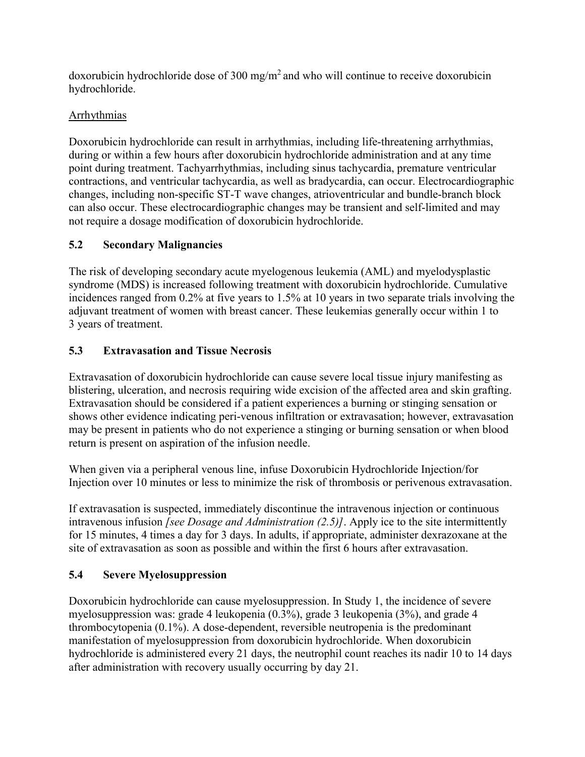doxorubicin hydrochloride dose of 300 mg/m<sup>2</sup> and who will continue to receive doxorubicin hydrochloride.

# **Arrhythmias**

Doxorubicin hydrochloride can result in arrhythmias, including life-threatening arrhythmias, during or within a few hours after doxorubicin hydrochloride administration and at any time point during treatment. Tachyarrhythmias, including sinus tachycardia, premature ventricular contractions, and ventricular tachycardia, as well as bradycardia, can occur. Electrocardiographic changes, including non-specific ST-T wave changes, atrioventricular and bundle-branch block can also occur. These electrocardiographic changes may be transient and self-limited and may not require a dosage modification of doxorubicin hydrochloride.

# **5.2 Secondary Malignancies**

The risk of developing secondary acute myelogenous leukemia (AML) and myelodysplastic syndrome (MDS) is increased following treatment with doxorubicin hydrochloride. Cumulative incidences ranged from 0.2% at five years to 1.5% at 10 years in two separate trials involving the adjuvant treatment of women with breast cancer. These leukemias generally occur within 1 to 3 years of treatment.

# **5.3 Extravasation and Tissue Necrosis**

Extravasation of doxorubicin hydrochloride can cause severe local tissue injury manifesting as blistering, ulceration, and necrosis requiring wide excision of the affected area and skin grafting. Extravasation should be considered if a patient experiences a burning or stinging sensation or shows other evidence indicating peri-venous infiltration or extravasation; however, extravasation may be present in patients who do not experience a stinging or burning sensation or when blood return is present on aspiration of the infusion needle.

When given via a peripheral venous line, infuse Doxorubicin Hydrochloride Injection/for Injection over 10 minutes or less to minimize the risk of thrombosis or perivenous extravasation.

If extravasation is suspected, immediately discontinue the intravenous injection or continuous intravenous infusion *[see Dosage and Administration (2.5)]*. Apply ice to the site intermittently for 15 minutes, 4 times a day for 3 days. In adults, if appropriate, administer dexrazoxane at the site of extravasation as soon as possible and within the first 6 hours after extravasation.

# **5.4 Severe Myelosuppression**

Doxorubicin hydrochloride can cause myelosuppression. In Study 1, the incidence of severe myelosuppression was: grade 4 leukopenia (0.3%), grade 3 leukopenia (3%), and grade 4 thrombocytopenia (0.1%). A dose-dependent, reversible neutropenia is the predominant manifestation of myelosuppression from doxorubicin hydrochloride. When doxorubicin hydrochloride is administered every 21 days, the neutrophil count reaches its nadir 10 to 14 days after administration with recovery usually occurring by day 21.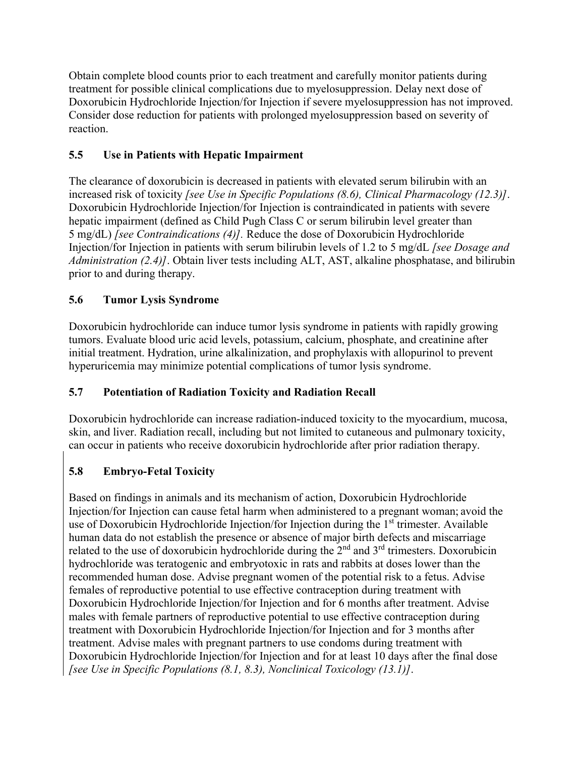Obtain complete blood counts prior to each treatment and carefully monitor patients during treatment for possible clinical complications due to myelosuppression. Delay next dose of Doxorubicin Hydrochloride Injection/for Injection if severe myelosuppression has not improved. Consider dose reduction for patients with prolonged myelosuppression based on severity of reaction.

# **5.5 Use in Patients with Hepatic Impairment**

The clearance of doxorubicin is decreased in patients with elevated serum bilirubin with an increased risk of toxicity *[see Use in Specific Populations (8.6), Clinical Pharmacology (12.3)]*. Doxorubicin Hydrochloride Injection/for Injection is contraindicated in patients with severe hepatic impairment (defined as Child Pugh Class C or serum bilirubin level greater than 5 mg/dL) *[see Contraindications (4)].* Reduce the dose of Doxorubicin Hydrochloride Injection/for Injection in patients with serum bilirubin levels of 1.2 to 5 mg/dL *[see Dosage and Administration (2.4)]*. Obtain liver tests including ALT, AST, alkaline phosphatase, and bilirubin prior to and during therapy.

# **5.6 Tumor Lysis Syndrome**

Doxorubicin hydrochloride can induce tumor lysis syndrome in patients with rapidly growing tumors. Evaluate blood uric acid levels, potassium, calcium, phosphate, and creatinine after initial treatment. Hydration, urine alkalinization, and prophylaxis with allopurinol to prevent hyperuricemia may minimize potential complications of tumor lysis syndrome.

# **5.7 Potentiation of Radiation Toxicity and Radiation Recall**

Doxorubicin hydrochloride can increase radiation-induced toxicity to the myocardium, mucosa, skin, and liver. Radiation recall, including but not limited to cutaneous and pulmonary toxicity, can occur in patients who receive doxorubicin hydrochloride after prior radiation therapy.

# **5.8 Embryo-Fetal Toxicity**

Based on findings in animals and its mechanism of action, Doxorubicin Hydrochloride Injection/for Injection can cause fetal harm when administered to a pregnant woman; avoid the use of Doxorubicin Hydrochloride Injection/for Injection during the 1<sup>st</sup> trimester. Available human data do not establish the presence or absence of major birth defects and miscarriage related to the use of doxorubicin hydrochloride during the  $2<sup>nd</sup>$  and  $3<sup>rd</sup>$  trimesters. Doxorubicin hydrochloride was teratogenic and embryotoxic in rats and rabbits at doses lower than the recommended human dose. Advise pregnant women of the potential risk to a fetus. Advise females of reproductive potential to use effective contraception during treatment with Doxorubicin Hydrochloride Injection/for Injection and for 6 months after treatment. Advise males with female partners of reproductive potential to use effective contraception during treatment with Doxorubicin Hydrochloride Injection/for Injection and for 3 months after treatment. Advise males with pregnant partners to use condoms during treatment with Doxorubicin Hydrochloride Injection/for Injection and for at least 10 days after the final dose *[see Use in Specific Populations (8.1, 8.3), Nonclinical Toxicology (13.1)]*.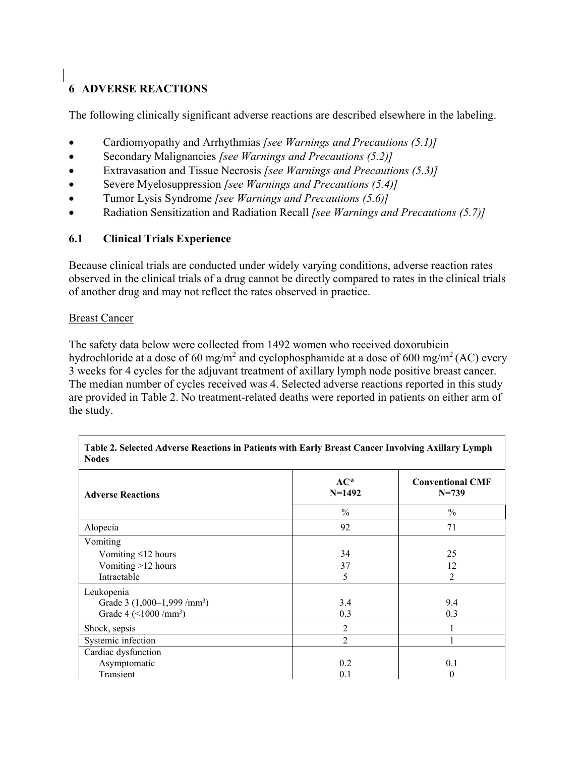# **6 ADVERSE REACTIONS**

The following clinically significant adverse reactions are described elsewhere in the labeling.

- Cardiomyopathy and Arrhythmias *[see Warnings and Precautions (5.1)]*
- Secondary Malignancies *[see Warnings and Precautions (5.2)]*
- Extravasation and Tissue Necrosis *[see Warnings and Precautions (5.3)]*
- Severe Myelosuppression *[see Warnings and Precautions (5.4)]*
- Tumor Lysis Syndrome *[see Warnings and Precautions (5.6)]*
- Radiation Sensitization and Radiation Recall *[see Warnings and Precautions (5.7)]*

## **6.1 Clinical Trials Experience**

Because clinical trials are conducted under widely varying conditions, adverse reaction rates observed in the clinical trials of a drug cannot be directly compared to rates in the clinical trials of another drug and may not reflect the rates observed in practice.

#### **Breast Cancer**

The safety data below were collected from 1492 women who received doxorubicin hydrochloride at a dose of 60 mg/m<sup>2</sup> and cyclophosphamide at a dose of 600 mg/m<sup>2</sup> (AC) every 3 weeks for 4 cycles for the adjuvant treatment of axillary lymph node positive breast cancer. The median number of cycles received was 4. Selected adverse reactions reported in this study are provided in Table 2. No treatment-related deaths were reported in patients on either arm of the study.

**Table 2. Selected Adverse Reactions in Patients with Early Breast Cancer Involving Axillary Lymph** 

| <b>Nodes</b>                |                   |                                      |  |  |  |  |
|-----------------------------|-------------------|--------------------------------------|--|--|--|--|
| <b>Adverse Reactions</b>    | $AC*$<br>$N=1492$ | <b>Conventional CMF</b><br>$N = 739$ |  |  |  |  |
|                             | $\frac{0}{0}$     | $\frac{0}{0}$                        |  |  |  |  |
| Alopecia                    | 92                | 71                                   |  |  |  |  |
| Vomiting                    |                   |                                      |  |  |  |  |
| Vomiting $\leq$ 12 hours    | 34                | 25                                   |  |  |  |  |
| Vomiting >12 hours          | 37                | 12                                   |  |  |  |  |
| Intractable                 | 5                 | $\mathfrak{D}$                       |  |  |  |  |
| Leukopenia                  |                   |                                      |  |  |  |  |
| Grade 3 $(1,000-1,999/mm3)$ | 3.4               | 9.4                                  |  |  |  |  |
| Grade 4 $(<1000 / mm3)$     | 0.3               | 0.3                                  |  |  |  |  |
| Shock, sepsis               | $\overline{2}$    |                                      |  |  |  |  |
| Systemic infection          | $\overline{2}$    |                                      |  |  |  |  |
| Cardiac dysfunction         |                   |                                      |  |  |  |  |
| Asymptomatic                | 0.2               | 0.1                                  |  |  |  |  |
| Transient                   | 0.1               | $\theta$                             |  |  |  |  |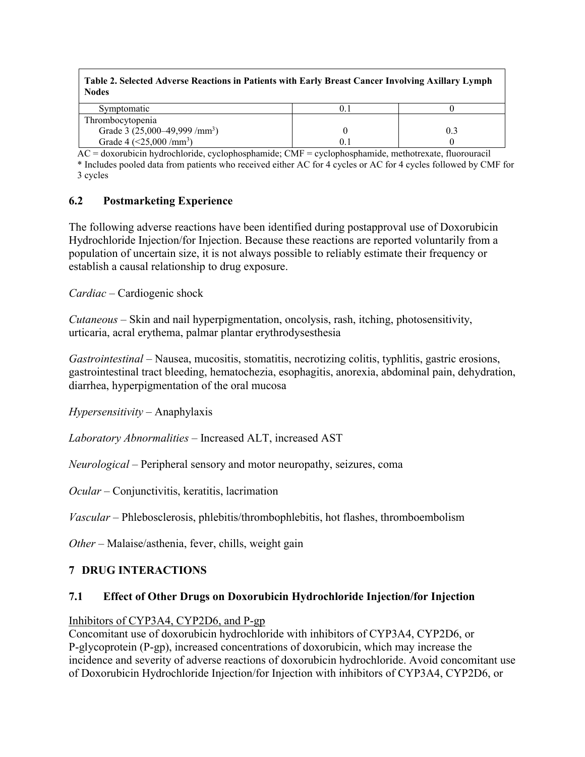**Table 2. Selected Adverse Reactions in Patients with Early Breast Cancer Involving Axillary Lymph Nodes**

| Symptomatic                               | υ.   |  |
|-------------------------------------------|------|--|
| Thrombocytopenia                          |      |  |
| Grade 3 (25,000–49,999 /mm <sup>3</sup> ) |      |  |
| Grade 4 $(<25,000 / mm3)$                 | V. 1 |  |

AC = doxorubicin hydrochloride, cyclophosphamide; CMF = cyclophosphamide, methotrexate, fluorouracil

\* Includes pooled data from patients who received either AC for 4 cycles or AC for 4 cycles followed by CMF for 3 cycles

#### **6.2 Postmarketing Experience**

The following adverse reactions have been identified during postapproval use of Doxorubicin Hydrochloride Injection/for Injection. Because these reactions are reported voluntarily from a population of uncertain size, it is not always possible to reliably estimate their frequency or establish a causal relationship to drug exposure.

*Cardiac –* Cardiogenic shock

*Cutaneous* – Skin and nail hyperpigmentation, oncolysis, rash, itching, photosensitivity, urticaria, acral erythema, palmar plantar erythrodysesthesia

*Gastrointestinal* – Nausea, mucositis, stomatitis, necrotizing colitis, typhlitis, gastric erosions, gastrointestinal tract bleeding, hematochezia, esophagitis, anorexia, abdominal pain, dehydration, diarrhea, hyperpigmentation of the oral mucosa

*Hypersensitivity* – Anaphylaxis

*Laboratory Abnormalities* – Increased ALT, increased AST

*Neurological* – Peripheral sensory and motor neuropathy, seizures, coma

*Ocular* – Conjunctivitis, keratitis, lacrimation

*Vascular* – Phlebosclerosis, phlebitis/thrombophlebitis, hot flashes, thromboembolism

*Other* – Malaise/asthenia, fever, chills, weight gain

#### **7 DRUG INTERACTIONS**

#### **7.1 Effect of Other Drugs on Doxorubicin Hydrochloride Injection/for Injection**

#### Inhibitors of CYP3A4, CYP2D6, and P-gp

Concomitant use of doxorubicin hydrochloride with inhibitors of CYP3A4, CYP2D6, or P-glycoprotein (P-gp), increased concentrations of doxorubicin, which may increase the incidence and severity of adverse reactions of doxorubicin hydrochloride. Avoid concomitant use of Doxorubicin Hydrochloride Injection/for Injection with inhibitors of CYP3A4, CYP2D6, or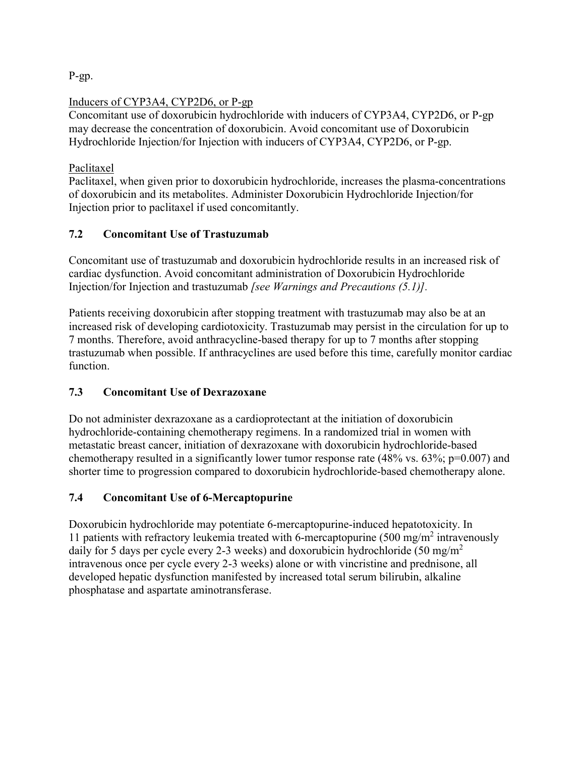P-gp.

## Inducers of CYP3A4, CYP2D6, or P-gp

Concomitant use of doxorubicin hydrochloride with inducers of CYP3A4, CYP2D6, or P-gp may decrease the concentration of doxorubicin. Avoid concomitant use of Doxorubicin Hydrochloride Injection/for Injection with inducers of CYP3A4, CYP2D6, or P-gp.

## Paclitaxel

Paclitaxel, when given prior to doxorubicin hydrochloride, increases the plasma-concentrations of doxorubicin and its metabolites. Administer Doxorubicin Hydrochloride Injection/for Injection prior to paclitaxel if used concomitantly.

# **7.2 Concomitant Use of Trastuzumab**

Concomitant use of trastuzumab and doxorubicin hydrochloride results in an increased risk of cardiac dysfunction. Avoid concomitant administration of Doxorubicin Hydrochloride Injection/for Injection and trastuzumab *[see Warnings and Precautions (5.1)].*

Patients receiving doxorubicin after stopping treatment with trastuzumab may also be at an increased risk of developing cardiotoxicity. Trastuzumab may persist in the circulation for up to 7 months. Therefore, avoid anthracycline-based therapy for up to 7 months after stopping trastuzumab when possible. If anthracyclines are used before this time, carefully monitor cardiac function.

## **7.3 Concomitant Use of Dexrazoxane**

Do not administer dexrazoxane as a cardioprotectant at the initiation of doxorubicin hydrochloride-containing chemotherapy regimens. In a randomized trial in women with metastatic breast cancer, initiation of dexrazoxane with doxorubicin hydrochloride-based chemotherapy resulted in a significantly lower tumor response rate  $(48\% \text{ vs. } 63\%; \text{ p}=0.007)$  and shorter time to progression compared to doxorubicin hydrochloride-based chemotherapy alone.

## **7.4 Concomitant Use of 6-Mercaptopurine**

Doxorubicin hydrochloride may potentiate 6-mercaptopurine-induced hepatotoxicity. In 11 patients with refractory leukemia treated with 6-mercaptopurine (500 mg/m<sup>2</sup> intravenously daily for 5 days per cycle every 2-3 weeks) and doxorubicin hydrochloride (50 mg/m<sup>2</sup> intravenous once per cycle every 2-3 weeks) alone or with vincristine and prednisone, all developed hepatic dysfunction manifested by increased total serum bilirubin, alkaline phosphatase and aspartate aminotransferase.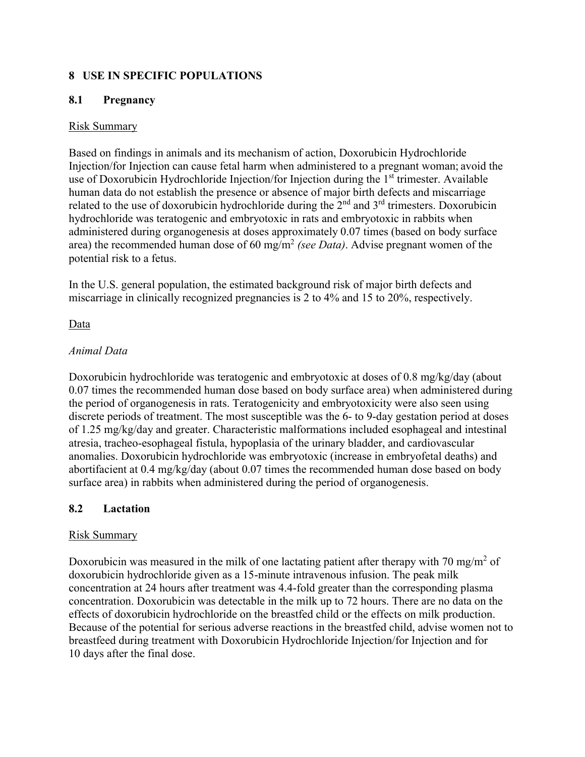## **8 USE IN SPECIFIC POPULATIONS**

## **8.1 Pregnancy**

### Risk Summary

Based on findings in animals and its mechanism of action, Doxorubicin Hydrochloride Injection/for Injection can cause fetal harm when administered to a pregnant woman; avoid the use of Doxorubicin Hydrochloride Injection/for Injection during the 1<sup>st</sup> trimester. Available human data do not establish the presence or absence of major birth defects and miscarriage related to the use of doxorubicin hydrochloride during the  $2<sup>nd</sup>$  and  $3<sup>rd</sup>$  trimesters. Doxorubicin hydrochloride was teratogenic and embryotoxic in rats and embryotoxic in rabbits when administered during organogenesis at doses approximately 0.07 times (based on body surface area) the recommended human dose of 60 mg/m<sup>2</sup> *(see Data)*. Advise pregnant women of the potential risk to a fetus.

In the U.S. general population, the estimated background risk of major birth defects and miscarriage in clinically recognized pregnancies is 2 to 4% and 15 to 20%, respectively.

## Data

#### *Animal Data*

Doxorubicin hydrochloride was teratogenic and embryotoxic at doses of 0.8 mg/kg/day (about 0.07 times the recommended human dose based on body surface area) when administered during the period of organogenesis in rats. Teratogenicity and embryotoxicity were also seen using discrete periods of treatment. The most susceptible was the 6- to 9-day gestation period at doses of 1.25 mg/kg/day and greater. Characteristic malformations included esophageal and intestinal atresia, tracheo-esophageal fistula, hypoplasia of the urinary bladder, and cardiovascular anomalies. Doxorubicin hydrochloride was embryotoxic (increase in embryofetal deaths) and abortifacient at 0.4 mg/kg/day (about 0.07 times the recommended human dose based on body surface area) in rabbits when administered during the period of organogenesis.

## **8.2 Lactation**

#### Risk Summary

Doxorubicin was measured in the milk of one lactating patient after therapy with 70 mg/m<sup>2</sup> of doxorubicin hydrochloride given as a 15-minute intravenous infusion. The peak milk concentration at 24 hours after treatment was 4.4-fold greater than the corresponding plasma concentration. Doxorubicin was detectable in the milk up to 72 hours. There are no data on the effects of doxorubicin hydrochloride on the breastfed child or the effects on milk production. Because of the potential for serious adverse reactions in the breastfed child, advise women not to breastfeed during treatment with Doxorubicin Hydrochloride Injection/for Injection and for 10 days after the final dose.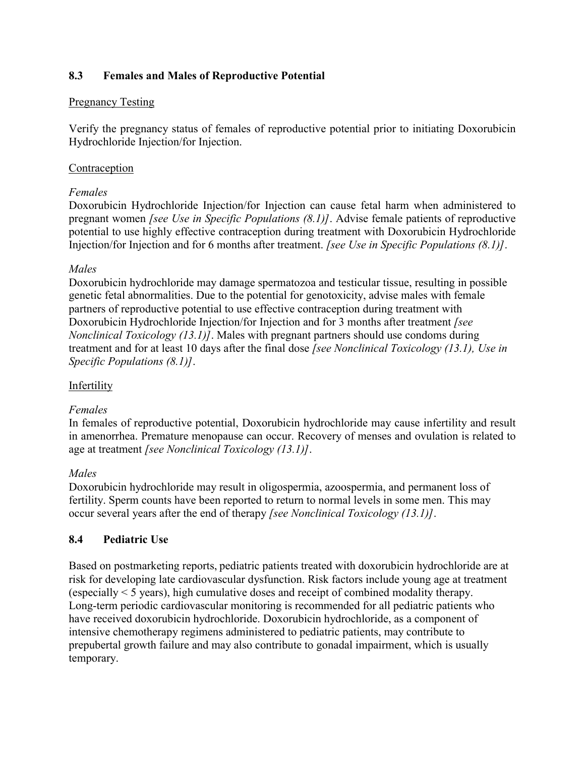## **8.3 Females and Males of Reproductive Potential**

### Pregnancy Testing

Verify the pregnancy status of females of reproductive potential prior to initiating Doxorubicin Hydrochloride Injection/for Injection.

### **Contraception**

#### *Females*

Doxorubicin Hydrochloride Injection/for Injection can cause fetal harm when administered to pregnant women *[see Use in Specific Populations (8.1)]*. Advise female patients of reproductive potential to use highly effective contraception during treatment with Doxorubicin Hydrochloride Injection/for Injection and for 6 months after treatment. *[see Use in Specific Populations (8.1)]*.

#### *Males*

Doxorubicin hydrochloride may damage spermatozoa and testicular tissue, resulting in possible genetic fetal abnormalities. Due to the potential for genotoxicity, advise males with female partners of reproductive potential to use effective contraception during treatment with Doxorubicin Hydrochloride Injection/for Injection and for 3 months after treatment *[see Nonclinical Toxicology (13.1)]*. Males with pregnant partners should use condoms during treatment and for at least 10 days after the final dose *[see Nonclinical Toxicology (13.1), Use in Specific Populations (8.1)]*.

## Infertility

#### *Females*

In females of reproductive potential, Doxorubicin hydrochloride may cause infertility and result in amenorrhea. Premature menopause can occur. Recovery of menses and ovulation is related to age at treatment *[see Nonclinical Toxicology (13.1)]*.

#### *Males*

Doxorubicin hydrochloride may result in oligospermia, azoospermia, and permanent loss of fertility. Sperm counts have been reported to return to normal levels in some men. This may occur several years after the end of therapy *[see Nonclinical Toxicology (13.1)]*.

## **8.4 Pediatric Use**

Based on postmarketing reports, pediatric patients treated with doxorubicin hydrochloride are at risk for developing late cardiovascular dysfunction. Risk factors include young age at treatment (especially < 5 years), high cumulative doses and receipt of combined modality therapy. Long-term periodic cardiovascular monitoring is recommended for all pediatric patients who have received doxorubicin hydrochloride. Doxorubicin hydrochloride, as a component of intensive chemotherapy regimens administered to pediatric patients, may contribute to prepubertal growth failure and may also contribute to gonadal impairment, which is usually temporary.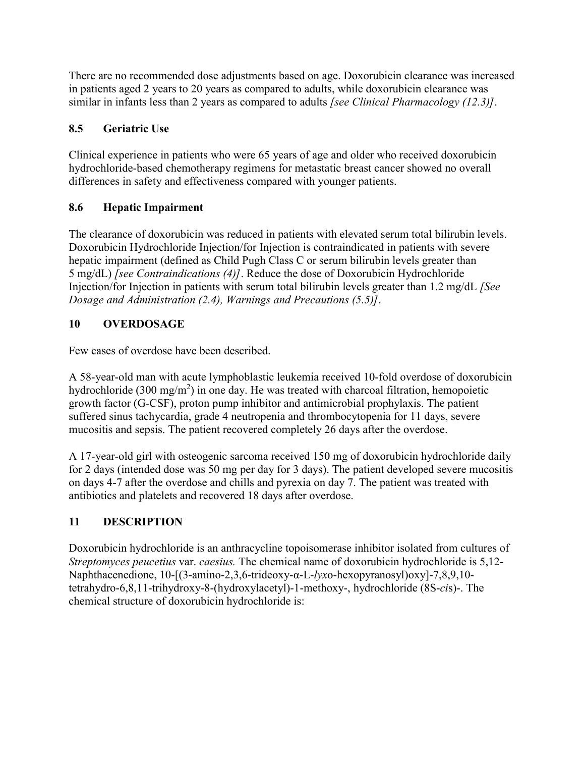There are no recommended dose adjustments based on age. Doxorubicin clearance was increased in patients aged 2 years to 20 years as compared to adults, while doxorubicin clearance was similar in infants less than 2 years as compared to adults *[see Clinical Pharmacology (12.3)]*.

# **8.5 Geriatric Use**

Clinical experience in patients who were 65 years of age and older who received doxorubicin hydrochloride-based chemotherapy regimens for metastatic breast cancer showed no overall differences in safety and effectiveness compared with younger patients.

# **8.6 Hepatic Impairment**

The clearance of doxorubicin was reduced in patients with elevated serum total bilirubin levels. Doxorubicin Hydrochloride Injection/for Injection is contraindicated in patients with severe hepatic impairment (defined as Child Pugh Class C or serum bilirubin levels greater than 5 mg/dL) *[see Contraindications (4)]*. Reduce the dose of Doxorubicin Hydrochloride Injection/for Injection in patients with serum total bilirubin levels greater than 1.2 mg/dL *[See Dosage and Administration (2.4), Warnings and Precautions (5.5)]*.

# **10 OVERDOSAGE**

Few cases of overdose have been described.

A 58-year-old man with acute lymphoblastic leukemia received 10-fold overdose of doxorubicin hydrochloride (300 mg/m<sup>2</sup>) in one day. He was treated with charcoal filtration, hemopoietic growth factor (G-CSF), proton pump inhibitor and antimicrobial prophylaxis. The patient suffered sinus tachycardia, grade 4 neutropenia and thrombocytopenia for 11 days, severe mucositis and sepsis. The patient recovered completely 26 days after the overdose.

A 17-year-old girl with osteogenic sarcoma received 150 mg of doxorubicin hydrochloride daily for 2 days (intended dose was 50 mg per day for 3 days). The patient developed severe mucositis on days 4-7 after the overdose and chills and pyrexia on day 7. The patient was treated with antibiotics and platelets and recovered 18 days after overdose.

# **11 DESCRIPTION**

Doxorubicin hydrochloride is an anthracycline topoisomerase inhibitor isolated from cultures of *Streptomyces peucetius* var. *caesius.* The chemical name of doxorubicin hydrochloride is 5,12- Naphthacenedione, 10-[(3-amino-2,3,6-trideoxy-α-L-*lyx*o-hexopyranosyl)oxy]-7,8,9,10 tetrahydro-6,8,11-trihydroxy-8-(hydroxylacetyl)-1-methoxy-, hydrochloride (8S-*ci*s)-. The chemical structure of doxorubicin hydrochloride is: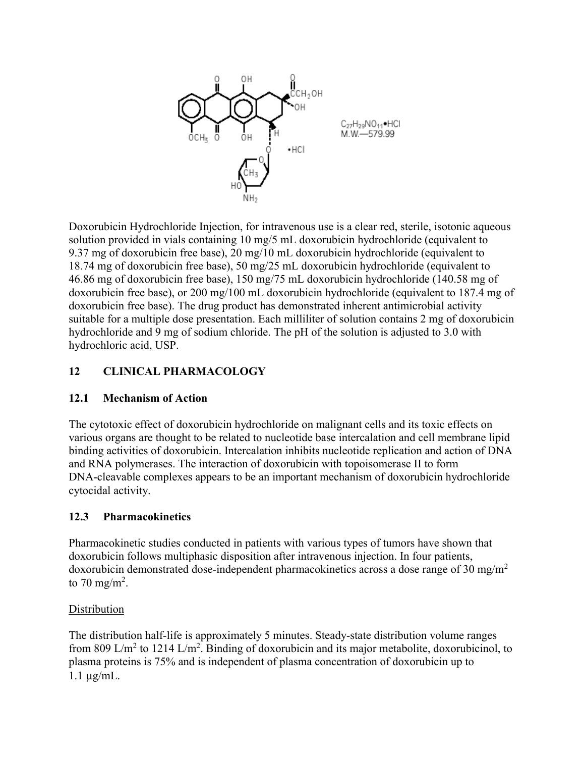

Doxorubicin Hydrochloride Injection, for intravenous use is a clear red, sterile, isotonic aqueous solution provided in vials containing 10 mg/5 mL doxorubicin hydrochloride (equivalent to 9.37 mg of doxorubicin free base), 20 mg/10 mL doxorubicin hydrochloride (equivalent to 18.74 mg of doxorubicin free base), 50 mg/25 mL doxorubicin hydrochloride (equivalent to 46.86 mg of doxorubicin free base), 150 mg/75 mL doxorubicin hydrochloride (140.58 mg of doxorubicin free base), or 200 mg/100 mL doxorubicin hydrochloride (equivalent to 187.4 mg of doxorubicin free base). The drug product has demonstrated inherent antimicrobial activity suitable for a multiple dose presentation. Each milliliter of solution contains 2 mg of doxorubicin hydrochloride and 9 mg of sodium chloride. The pH of the solution is adjusted to 3.0 with hydrochloric acid, USP.

## **12 CLINICAL PHARMACOLOGY**

## **12.1 Mechanism of Action**

The cytotoxic effect of doxorubicin hydrochloride on malignant cells and its toxic effects on various organs are thought to be related to nucleotide base intercalation and cell membrane lipid binding activities of doxorubicin. Intercalation inhibits nucleotide replication and action of DNA and RNA polymerases. The interaction of doxorubicin with topoisomerase II to form DNA-cleavable complexes appears to be an important mechanism of doxorubicin hydrochloride cytocidal activity.

## **12.3 Pharmacokinetics**

Pharmacokinetic studies conducted in patients with various types of tumors have shown that doxorubicin follows multiphasic disposition after intravenous injection. In four patients, doxorubicin demonstrated dose-independent pharmacokinetics across a dose range of 30 mg/m<sup>2</sup> to 70 mg/m<sup>2</sup>.

#### **Distribution**

The distribution half-life is approximately 5 minutes. Steady-state distribution volume ranges from 809 L/m<sup>2</sup> to 1214 L/m<sup>2</sup>. Binding of doxorubicin and its major metabolite, doxorubicinol, to plasma proteins is 75% and is independent of plasma concentration of doxorubicin up to  $1.1 \mu g/mL$ .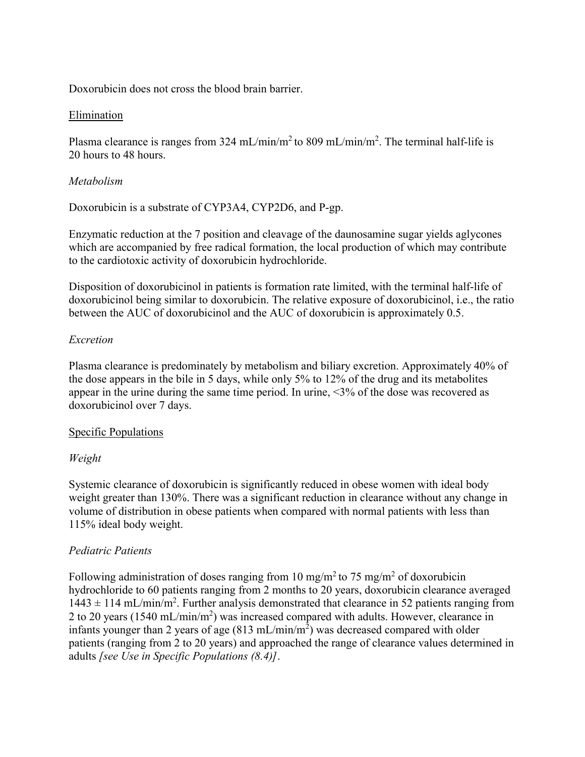Doxorubicin does not cross the blood brain barrier.

#### Elimination

Plasma clearance is ranges from 324 mL/min/m<sup>2</sup> to 809 mL/min/m<sup>2</sup>. The terminal half-life is 20 hours to 48 hours.

### *Metabolism*

Doxorubicin is a substrate of CYP3A4, CYP2D6, and P-gp.

Enzymatic reduction at the 7 position and cleavage of the daunosamine sugar yields aglycones which are accompanied by free radical formation, the local production of which may contribute to the cardiotoxic activity of doxorubicin hydrochloride.

Disposition of doxorubicinol in patients is formation rate limited, with the terminal half-life of doxorubicinol being similar to doxorubicin. The relative exposure of doxorubicinol, i.e., the ratio between the AUC of doxorubicinol and the AUC of doxorubicin is approximately 0.5.

## *Excretion*

Plasma clearance is predominately by metabolism and biliary excretion. Approximately 40% of the dose appears in the bile in 5 days, while only 5% to 12% of the drug and its metabolites appear in the urine during the same time period. In urine, <3% of the dose was recovered as doxorubicinol over 7 days.

#### Specific Populations

## *Weight*

Systemic clearance of doxorubicin is significantly reduced in obese women with ideal body weight greater than 130%. There was a significant reduction in clearance without any change in volume of distribution in obese patients when compared with normal patients with less than 115% ideal body weight.

## *Pediatric Patients*

Following administration of doses ranging from 10 mg/m<sup>2</sup> to 75 mg/m<sup>2</sup> of doxorubicin hydrochloride to 60 patients ranging from 2 months to 20 years, doxorubicin clearance averaged  $1443 \pm 114$  mL/min/m<sup>2</sup>. Further analysis demonstrated that clearance in 52 patients ranging from 2 to 20 years (1540 mL/min/m<sup>2</sup>) was increased compared with adults. However, clearance in infants younger than 2 years of age  $(813 \text{ mL/min/m}^2)$  was decreased compared with older patients (ranging from 2 to 20 years) and approached the range of clearance values determined in adults *[see Use in Specific Populations (8.4)]*.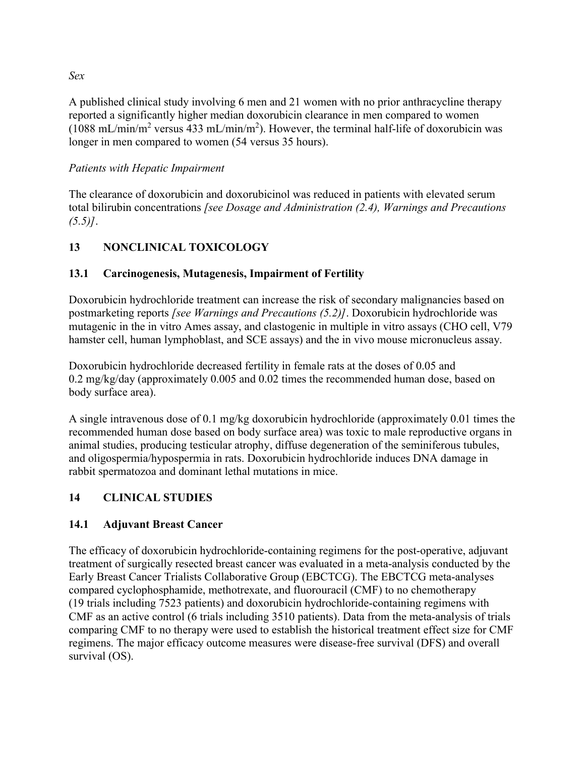A published clinical study involving 6 men and 21 women with no prior anthracycline therapy reported a significantly higher median doxorubicin clearance in men compared to women (1088 mL/min/m<sup>2</sup> versus 433 mL/min/m<sup>2</sup>). However, the terminal half-life of doxorubicin was longer in men compared to women (54 versus 35 hours).

## *Patients with Hepatic Impairment*

The clearance of doxorubicin and doxorubicinol was reduced in patients with elevated serum total bilirubin concentrations *[see Dosage and Administration (2.4), Warnings and Precautions (5.5)]*.

# **13 NONCLINICAL TOXICOLOGY**

## **13.1 Carcinogenesis, Mutagenesis, Impairment of Fertility**

Doxorubicin hydrochloride treatment can increase the risk of secondary malignancies based on postmarketing reports *[see Warnings and Precautions (5.2)]*. Doxorubicin hydrochloride was mutagenic in the in vitro Ames assay, and clastogenic in multiple in vitro assays (CHO cell, V79 hamster cell, human lymphoblast, and SCE assays) and the in vivo mouse micronucleus assay.

Doxorubicin hydrochloride decreased fertility in female rats at the doses of 0.05 and 0.2 mg/kg/day (approximately 0.005 and 0.02 times the recommended human dose, based on body surface area).

A single intravenous dose of 0.1 mg/kg doxorubicin hydrochloride (approximately 0.01 times the recommended human dose based on body surface area) was toxic to male reproductive organs in animal studies, producing testicular atrophy, diffuse degeneration of the seminiferous tubules, and oligospermia/hypospermia in rats. Doxorubicin hydrochloride induces DNA damage in rabbit spermatozoa and dominant lethal mutations in mice.

## **14 CLINICAL STUDIES**

## **14.1 Adjuvant Breast Cancer**

The efficacy of doxorubicin hydrochloride-containing regimens for the post-operative, adjuvant treatment of surgically resected breast cancer was evaluated in a meta-analysis conducted by the Early Breast Cancer Trialists Collaborative Group (EBCTCG). The EBCTCG meta-analyses compared cyclophosphamide, methotrexate, and fluorouracil (CMF) to no chemotherapy (19 trials including 7523 patients) and doxorubicin hydrochloride-containing regimens with CMF as an active control (6 trials including 3510 patients). Data from the meta-analysis of trials comparing CMF to no therapy were used to establish the historical treatment effect size for CMF regimens. The major efficacy outcome measures were disease-free survival (DFS) and overall survival (OS).

*Sex*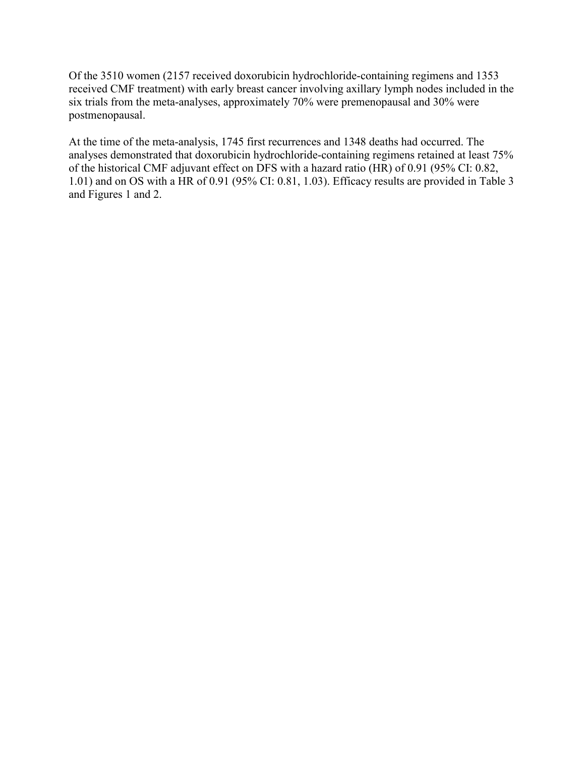Of the 3510 women (2157 received doxorubicin hydrochloride-containing regimens and 1353 received CMF treatment) with early breast cancer involving axillary lymph nodes included in the six trials from the meta-analyses, approximately 70% were premenopausal and 30% were postmenopausal.

At the time of the meta-analysis, 1745 first recurrences and 1348 deaths had occurred. The analyses demonstrated that doxorubicin hydrochloride-containing regimens retained at least 75% of the historical CMF adjuvant effect on DFS with a hazard ratio (HR) of 0.91 (95% CI: 0.82, 1.01) and on OS with a HR of 0.91 (95% CI: 0.81, 1.03). Efficacy results are provided in Table 3 and Figures 1 and 2.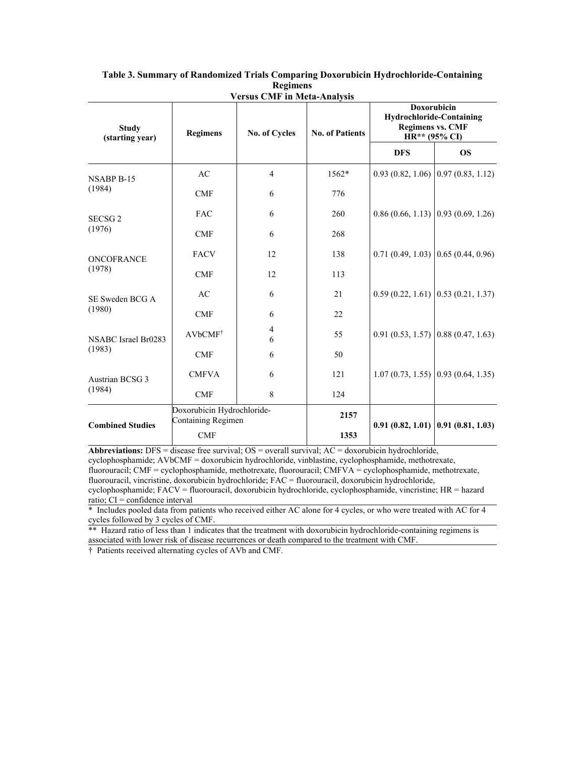| <b>Study</b><br>(starting year) | <b>Regimens</b>                                  | V CL SUS UNLE III IVICIA-AIIAIYSIS<br><b>No. of Cycles</b> | <b>No. of Patients</b> | Doxorubicin<br><b>Hydrochloride-Containing</b><br><b>Regimens vs. CMF</b><br>HR** (95% CI) |                                        |
|---------------------------------|--------------------------------------------------|------------------------------------------------------------|------------------------|--------------------------------------------------------------------------------------------|----------------------------------------|
|                                 |                                                  |                                                            |                        | <b>DFS</b>                                                                                 | <b>OS</b>                              |
| <b>NSABP B-15</b><br>(1984)     | AC                                               | $\overline{4}$                                             | $1562*$                |                                                                                            | $0.93(0.82, 1.06)$ 0.97 $(0.83, 1.12)$ |
|                                 | CMF                                              | 6                                                          | 776                    |                                                                                            |                                        |
| SECSG <sub>2</sub><br>(1976)    | <b>FAC</b>                                       | 6                                                          | 260                    |                                                                                            | $0.86(0.66, 1.13)$ 0.93 (0.69, 1.26)   |
|                                 | <b>CMF</b>                                       | 6                                                          | 268                    |                                                                                            |                                        |
| ONCOFRANCE<br>(1978)            | <b>FACV</b>                                      | 12                                                         | 138                    |                                                                                            | $0.71(0.49, 1.03)$ 0.65 (0.44, 0.96)   |
|                                 | CMF                                              | 12                                                         | 113                    |                                                                                            |                                        |
| SE Sweden BCG A<br>(1980)       | AC                                               | 6                                                          | 21                     |                                                                                            | $0.59(0.22, 1.61)$ $0.53(0.21, 1.37)$  |
|                                 | CMF                                              | 6                                                          | 22                     |                                                                                            |                                        |
| NSABC Israel Br0283<br>(1983)   | AVbCMF <sup>†</sup>                              | 4<br>6                                                     | 55                     |                                                                                            | $0.91(0.53, 1.57)$ 0.88 (0.47, 1.63)   |
|                                 | <b>CMF</b>                                       | 6                                                          | 50                     |                                                                                            |                                        |
| Austrian BCSG 3<br>(1984)       | <b>CMFVA</b>                                     | 6                                                          | 121                    |                                                                                            | $1.07(0.73, 1.55)$ 0.93 $(0.64, 1.35)$ |
|                                 | <b>CMF</b>                                       | 8                                                          | 124                    |                                                                                            |                                        |
| <b>Combined Studies</b>         | Doxorubicin Hydrochloride-<br>Containing Regimen |                                                            | 2157                   |                                                                                            |                                        |
|                                 | <b>CMF</b>                                       |                                                            | 1353                   |                                                                                            | $0.91(0.82, 1.01)$ 0.91 $(0.81, 1.03)$ |

#### **Table 3. Summary of Randomized Trials Comparing Doxorubicin Hydrochloride-Containing Regimens Versus CMF in Meta-Analysis**

**Abbreviations:** DFS = disease free survival; OS = overall survival; AC = doxorubicin hydrochloride, cyclophosphamide; AVbCMF = doxorubicin hydrochloride, vinblastine, cyclophosphamide, methotrexate, fluorouracil; CMF = cyclophosphamide, methotrexate, fluorouracil; CMFVA = cyclophosphamide, methotrexate, fluorouracil, vincristine, doxorubicin hydrochloride; FAC = fluorouracil, doxorubicin hydrochloride, cyclophosphamide; FACV = fluorouracil, doxorubicin hydrochloride, cyclophosphamide, vincristine; HR = hazard

ratio;  $CI =$  confidence interval

\* Includes pooled data from patients who received either AC alone for 4 cycles, or who were treated with AC for 4 cycles followed by 3 cycles of CMF.

\*\* Hazard ratio of less than 1 indicates that the treatment with doxorubicin hydrochloride-containing regimens is associated with lower risk of disease recurrences or death compared to the treatment with CMF.

† Patients received alternating cycles of AVb and CMF.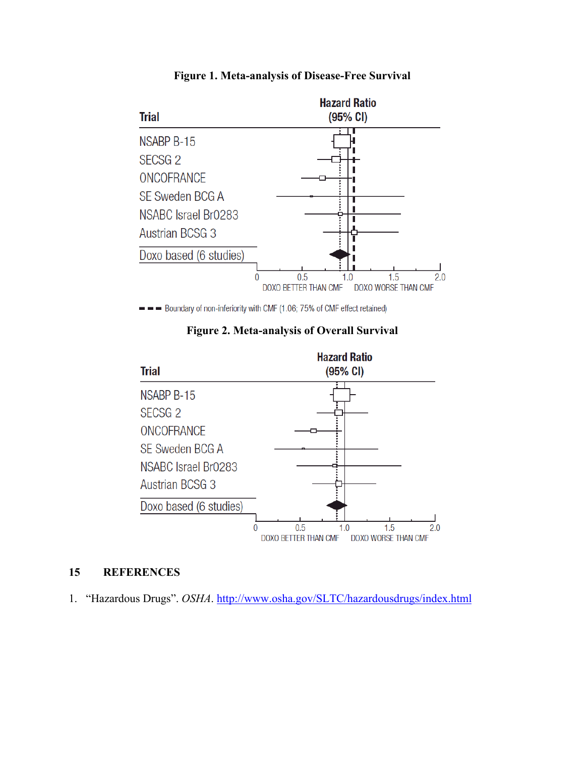

#### **Figure 1. Meta-analysis of Disease-Free Survival**

- Boundary of non-inferiority with CMF (1.06; 75% of CMF effect retained)

**Figure 2. Meta-analysis of Overall Survival**



## **15 REFERENCES**

1. "Hazardous Drugs". OSHA. <http://www.osha.gov/SLTC/hazardousdrugs/index.html>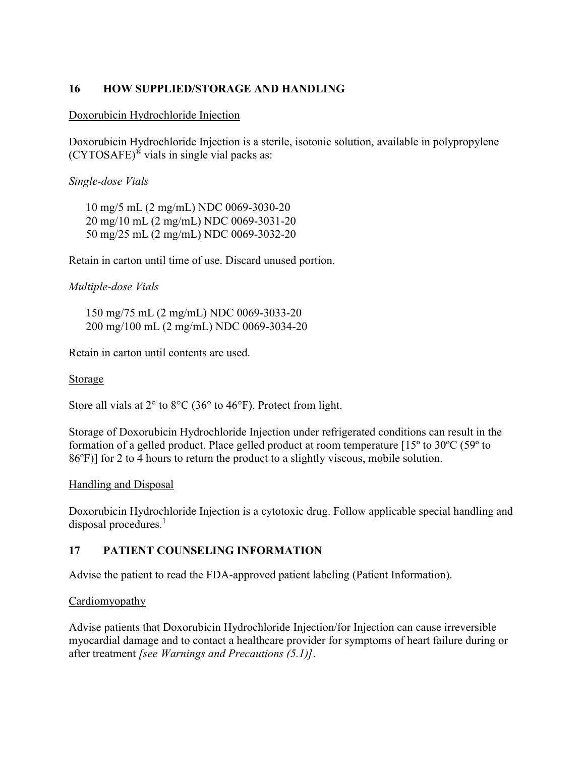## **16 HOW SUPPLIED/STORAGE AND HANDLING**

#### Doxorubicin Hydrochloride Injection

Doxorubicin Hydrochloride Injection is a sterile, isotonic solution, available in polypropylene  $(CYTOSAFE)^{\&}$  vials in single vial packs as:

*Single-dose Vials*

10 mg/5 mL (2 mg/mL) NDC 0069-3030-20 20 mg/10 mL (2 mg/mL) NDC 0069-3031-20 50 mg/25 mL (2 mg/mL) NDC 0069-3032-20

Retain in carton until time of use. Discard unused portion.

## *Multiple-dose Vials*

150 mg/75 mL (2 mg/mL) NDC 0069-3033-20 200 mg/100 mL (2 mg/mL) NDC 0069-3034-20

Retain in carton until contents are used.

#### Storage

Store all vials at 2° to 8°C (36° to 46°F). Protect from light.

Storage of Doxorubicin Hydrochloride Injection under refrigerated conditions can result in the formation of a gelled product. Place gelled product at room temperature [15º to 30ºC (59º to 86ºF)] for 2 to 4 hours to return the product to a slightly viscous, mobile solution.

#### Handling and Disposal

Doxorubicin Hydrochloride Injection is a cytotoxic drug. Follow applicable special handling and disposal procedures. $<sup>1</sup>$ </sup>

## **17 PATIENT COUNSELING INFORMATION**

Advise the patient to read the FDA-approved patient labeling (Patient Information).

#### **Cardiomyopathy**

Advise patients that Doxorubicin Hydrochloride Injection/for Injection can cause irreversible myocardial damage and to contact a healthcare provider for symptoms of heart failure during or after treatment *[see Warnings and Precautions (5.1)]*.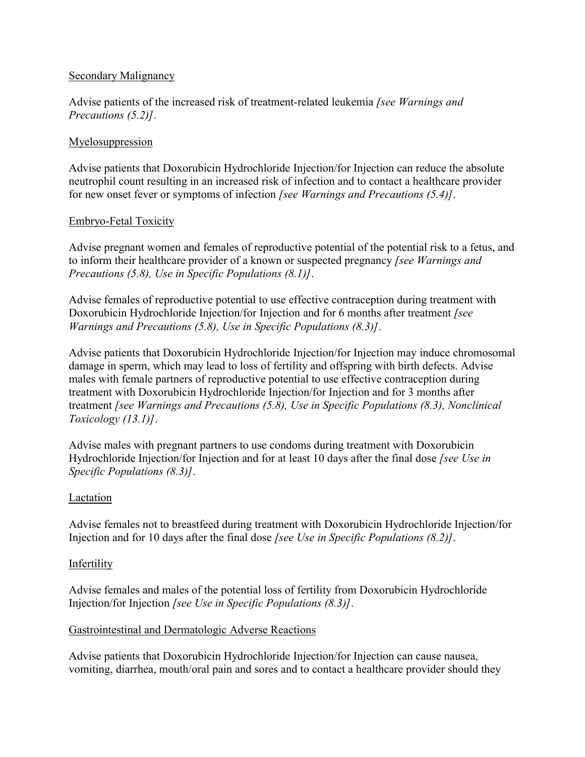#### Secondary Malignancy

Advise patients of the increased risk of treatment-related leukemia *[see Warnings and Precautions (5.2)]*.

### Myelosuppression

Advise patients that Doxorubicin Hydrochloride Injection/for Injection can reduce the absolute neutrophil count resulting in an increased risk of infection and to contact a healthcare provider for new onset fever or symptoms of infection *[see Warnings and Precautions (5.4)]*.

#### Embryo-Fetal Toxicity

Advise pregnant women and females of reproductive potential of the potential risk to a fetus, and to inform their healthcare provider of a known or suspected pregnancy *[see Warnings and Precautions (5.8), Use in Specific Populations (8.1)]*.

Advise females of reproductive potential to use effective contraception during treatment with Doxorubicin Hydrochloride Injection/for Injection and for 6 months after treatment *[see Warnings and Precautions (5.8), Use in Specific Populations (8.3)]*.

Advise patients that Doxorubicin Hydrochloride Injection/for Injection may induce chromosomal damage in sperm, which may lead to loss of fertility and offspring with birth defects. Advise males with female partners of reproductive potential to use effective contraception during treatment with Doxorubicin Hydrochloride Injection/for Injection and for 3 months after treatment *[see Warnings and Precautions (5.8), Use in Specific Populations (8.3), Nonclinical Toxicology (13.1)]*.

Advise males with pregnant partners to use condoms during treatment with Doxorubicin Hydrochloride Injection/for Injection and for at least 10 days after the final dose *[see Use in Specific Populations (8.3)]*.

## Lactation

Advise females not to breastfeed during treatment with Doxorubicin Hydrochloride Injection/for Injection and for 10 days after the final dose *[see Use in Specific Populations (8.2)]*.

#### **Infertility**

Advise females and males of the potential loss of fertility from Doxorubicin Hydrochloride Injection/for Injection *[see Use in Specific Populations (8.3)]*.

#### Gastrointestinal and Dermatologic Adverse Reactions

Advise patients that Doxorubicin Hydrochloride Injection/for Injection can cause nausea, vomiting, diarrhea, mouth/oral pain and sores and to contact a healthcare provider should they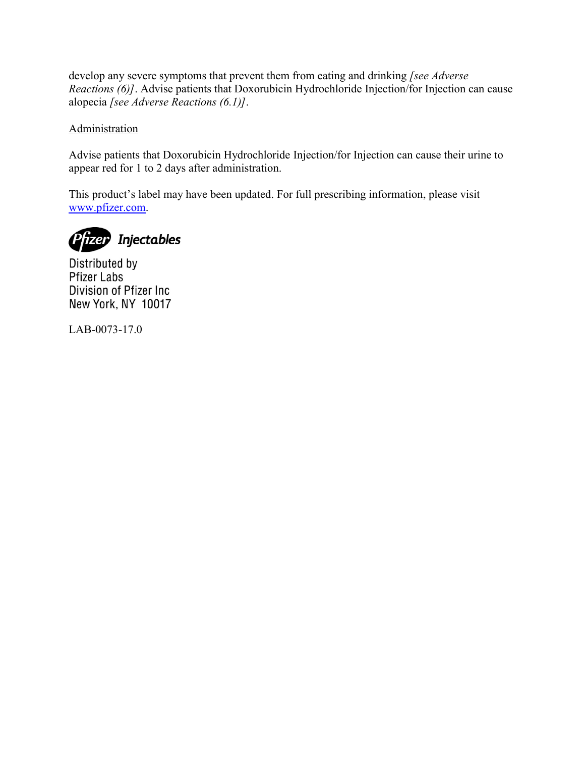develop any severe symptoms that prevent them from eating and drinking *[see Adverse Reactions (6)]*. Advise patients that Doxorubicin Hydrochloride Injection/for Injection can cause alopecia *[see Adverse Reactions (6.1)]*.

# **Administration**

Advise patients that Doxorubicin Hydrochloride Injection/for Injection can cause their urine to appear red for 1 to 2 days after administration.

This product's label may have been updated. For full prescribing information, please visit [www.pfizer.com.](http://www.pfizer.com/)



Distributed by **Pfizer Labs** Division of Pfizer Inc. New York, NY 10017

LAB-0073-17.0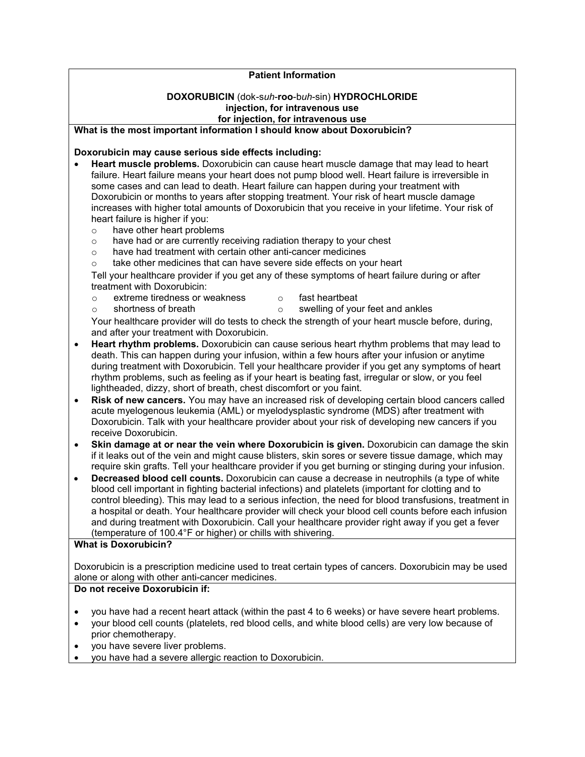#### **Patient Information**

#### **DOXORUBICIN** (dok-s*uh*-**roo**-b*uh*-sin) **HYDROCHLORIDE injection, for intravenous use for injection, for intravenous use**

#### **What is the most important information I should know about Doxorubicin?**

**Doxorubicin may cause serious side effects including:**

- **Heart muscle problems.** Doxorubicin can cause heart muscle damage that may lead to heart failure. Heart failure means your heart does not pump blood well. Heart failure is irreversible in some cases and can lead to death. Heart failure can happen during your treatment with Doxorubicin or months to years after stopping treatment. Your risk of heart muscle damage increases with higher total amounts of Doxorubicin that you receive in your lifetime. Your risk of heart failure is higher if you:
	- o have other heart problems
	- o have had or are currently receiving radiation therapy to your chest
	- o have had treatment with certain other anti-cancer medicines
	- $\circ$  take other medicines that can have severe side effects on your heart

Tell your healthcare provider if you get any of these symptoms of heart failure during or after treatment with Doxorubicin:

- o extreme tiredness or weakness o shortness of breath o fast heartbeat
	- o swelling of your feet and ankles

Your healthcare provider will do tests to check the strength of your heart muscle before, during, and after your treatment with Doxorubicin.

- **Heart rhythm problems.** Doxorubicin can cause serious heart rhythm problems that may lead to death. This can happen during your infusion, within a few hours after your infusion or anytime during treatment with Doxorubicin. Tell your healthcare provider if you get any symptoms of heart rhythm problems, such as feeling as if your heart is beating fast, irregular or slow, or you feel lightheaded, dizzy, short of breath, chest discomfort or you faint.
- **Risk of new cancers.** You may have an increased risk of developing certain blood cancers called acute myelogenous leukemia (AML) or myelodysplastic syndrome (MDS) after treatment with Doxorubicin. Talk with your healthcare provider about your risk of developing new cancers if you receive Doxorubicin.
- **Skin damage at or near the vein where Doxorubicin is given.** Doxorubicin can damage the skin if it leaks out of the vein and might cause blisters, skin sores or severe tissue damage, which may require skin grafts. Tell your healthcare provider if you get burning or stinging during your infusion.
- **Decreased blood cell counts.** Doxorubicin can cause a decrease in neutrophils (a type of white blood cell important in fighting bacterial infections) and platelets (important for clotting and to control bleeding). This may lead to a serious infection, the need for blood transfusions, treatment in a hospital or death. Your healthcare provider will check your blood cell counts before each infusion and during treatment with Doxorubicin. Call your healthcare provider right away if you get a fever (temperature of 100.4°F or higher) or chills with shivering.

#### **What is Doxorubicin?**

Doxorubicin is a prescription medicine used to treat certain types of cancers. Doxorubicin may be used alone or along with other anti-cancer medicines.

#### **Do not receive Doxorubicin if:**

- you have had a recent heart attack (within the past 4 to 6 weeks) or have severe heart problems.
- your blood cell counts (platelets, red blood cells, and white blood cells) are very low because of prior chemotherapy.
- you have severe liver problems.
- you have had a severe allergic reaction to Doxorubicin.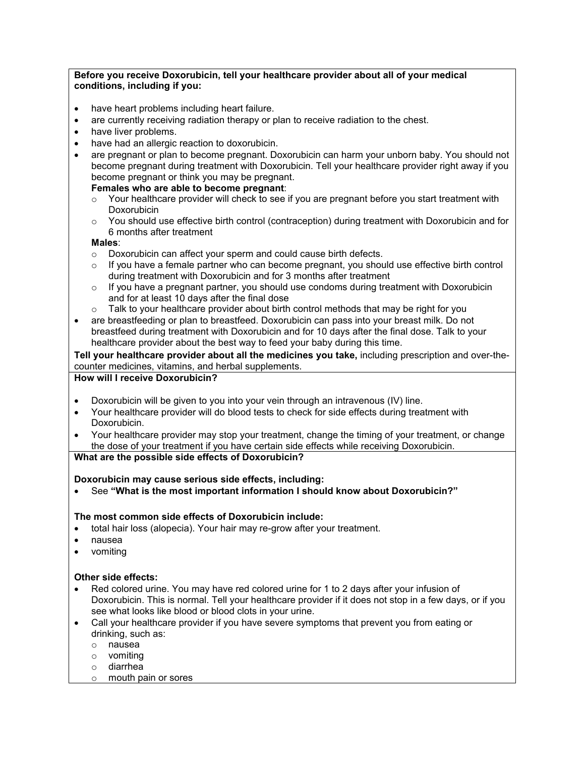#### **Before you receive Doxorubicin, tell your healthcare provider about all of your medical conditions, including if you:**

- have heart problems including heart failure.
- are currently receiving radiation therapy or plan to receive radiation to the chest.
- have liver problems.
- have had an allergic reaction to doxorubicin.
- are pregnant or plan to become pregnant. Doxorubicin can harm your unborn baby. You should not become pregnant during treatment with Doxorubicin. Tell your healthcare provider right away if you become pregnant or think you may be pregnant.

#### **Females who are able to become pregnant**:

- $\circ$  Your healthcare provider will check to see if you are pregnant before you start treatment with Doxorubicin
- o You should use effective birth control (contraception) during treatment with Doxorubicin and for 6 months after treatment

#### **Males**:

- o Doxorubicin can affect your sperm and could cause birth defects.
- $\circ$  If you have a female partner who can become pregnant, you should use effective birth control during treatment with Doxorubicin and for 3 months after treatment
- $\circ$  If you have a pregnant partner, you should use condoms during treatment with Doxorubicin and for at least 10 days after the final dose
- $\circ$  Talk to your healthcare provider about birth control methods that may be right for you
- are breastfeeding or plan to breastfeed. Doxorubicin can pass into your breast milk. Do not breastfeed during treatment with Doxorubicin and for 10 days after the final dose. Talk to your healthcare provider about the best way to feed your baby during this time.

**Tell your healthcare provider about all the medicines you take,** including prescription and over-thecounter medicines, vitamins, and herbal supplements.

#### **How will I receive Doxorubicin?**

- Doxorubicin will be given to you into your vein through an intravenous (IV) line.
- Your healthcare provider will do blood tests to check for side effects during treatment with Doxorubicin.
- Your healthcare provider may stop your treatment, change the timing of your treatment, or change the dose of your treatment if you have certain side effects while receiving Doxorubicin.

#### **What are the possible side effects of Doxorubicin?**

#### **Doxorubicin may cause serious side effects, including:**

See **"What is the most important information I should know about Doxorubicin?"**

#### **The most common side effects of Doxorubicin include:**

- total hair loss (alopecia). Your hair may re-grow after your treatment.
- nausea
- vomiting

#### **Other side effects:**

- Red colored urine. You may have red colored urine for 1 to 2 days after your infusion of Doxorubicin. This is normal. Tell your healthcare provider if it does not stop in a few days, or if you see what looks like blood or blood clots in your urine.
- Call your healthcare provider if you have severe symptoms that prevent you from eating or drinking, such as:
	- o nausea
	- o vomiting
	- o diarrhea
	- o mouth pain or sores